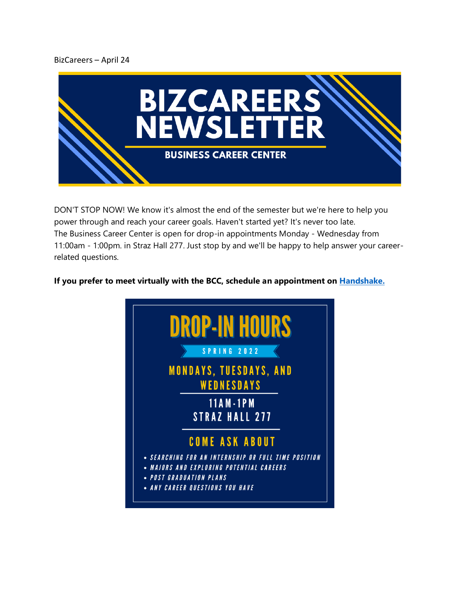## BizCareers – April 24



DON'T STOP NOW! We know it's almost the end of the semester but we're here to help you power through and reach your career goals. Haven't started yet? It's never too late. The Business Career Center is open for drop-in appointments Monday - Wednesday from 11:00am - 1:00pm. in Straz Hall 277. Just stop by and we'll be happy to help answer your careerrelated questions.

## **If you prefer to meet virtually with the BCC, schedule an appointment on [Handshake.](https://nam02.safelinks.protection.outlook.com/?url=https%3A%2F%2Femail.mail.joinhandshake.com%2Fc%2FeJxlj8tuwyAQRb_G7GrxckwWLCpV-YF-AMIwNjQGUh6L_n2J5XRTaVbnau6csVIIswjkJcWUYk4pEZxgMTK68EljslDKNZh54Dhov49fyUenoy1O32E0KSAn7co1tZcJrsAY5rOYV8HtBPQKZIaVoF26Wh9lYO8DvfUJOn83qBX-1_UUbBvYbU95YB94oJdWgyqpZQMdBF2KeppAPqMA1rfQI3jiE5oUK8TaKSGYc0JeXIeH9lvsQYteVZ03qGDVsVtQlnddPYw2tc1Brj_H2y_ZLoaqJJy_fRqX0o7-zNWhdZQob-V58xdTOHNf&data=05%7C01%7Ckatie.dougherty%40marquette.edu%7C718883bdeae14243c15708da248faab2%7Cabe32f68c72d420db5bd750c63a268e4%7C0%7C0%7C637862496704651447%7CUnknown%7CTWFpbGZsb3d8eyJWIjoiMC4wLjAwMDAiLCJQIjoiV2luMzIiLCJBTiI6Ik1haWwiLCJXVCI6Mn0%3D%7C3000%7C%7C%7C&sdata=Hj2Nl%2FoMN2EdJ57cOuzhcUS%2FLOX2Gv0U%2Fl0d8uh0m7w%3D&reserved=0)**

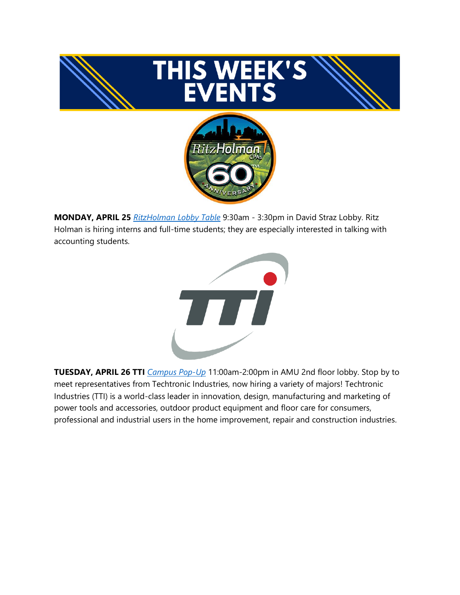

**MONDAY, APRIL 25** *[RitzHolman Lobby Table](https://nam02.safelinks.protection.outlook.com/?url=https%3A%2F%2Femail.mail.joinhandshake.com%2Fc%2FeJxlkEtuwzAMRE9j72roZ0dZaBGgyAV6AIGWmFiNZbn6pOjtKxtONwW4IOaBwyGtktKMsnWKEcaIYIxKQYnsOBtFD4SOjAlAc2oE8eDm7jO4ZYLFpgke2Jng20mhpYyeuR0kcG760w1GInvKiT1LJLehndWU85oafmnYtZaH-FUwZ_xvVyk-ccmpNpTQgZ-G2lUcUa8Rnw6_G36dQ2z4O23YULLXKZRosAoeUtJbTIwH8mhd8RXhJh-iCUuuKzYHSoSgLx8DfgV3Xyooi9MZ4h0zWr3PpjaqB2SHnQ3lPmHMP_tPXpegLW1WVIi3DzOFMLd_Z-k91m6inVXHzl8MmXyH&data=05%7C01%7Ckatie.dougherty%40marquette.edu%7C718883bdeae14243c15708da248faab2%7Cabe32f68c72d420db5bd750c63a268e4%7C0%7C0%7C637862496704651447%7CUnknown%7CTWFpbGZsb3d8eyJWIjoiMC4wLjAwMDAiLCJQIjoiV2luMzIiLCJBTiI6Ik1haWwiLCJXVCI6Mn0%3D%7C3000%7C%7C%7C&sdata=QcZSGauIknwkGwDfQyGTFV7pFMIafknj4upI3cq3slM%3D&reserved=0)* 9:30am - 3:30pm in David Straz Lobby. Ritz Holman is hiring interns and full-time students; they are especially interested in talking with accounting students.



**TUESDAY, APRIL 26 TTI** *[Campus Pop-Up](https://marquette.joinhandshake.com/edu/events/985579?lor=2&utm_source=mass_mailer&utm_medium=email&utm_campaign=uni_targeted_emails)* 11:00am-2:00pm in AMU 2nd floor lobby. Stop by to meet representatives from Techtronic Industries, now hiring a variety of majors! Techtronic Industries (TTI) is a world-class leader in innovation, design, manufacturing and marketing of power tools and accessories, outdoor product equipment and floor care for consumers, professional and industrial users in the home improvement, repair and construction industries.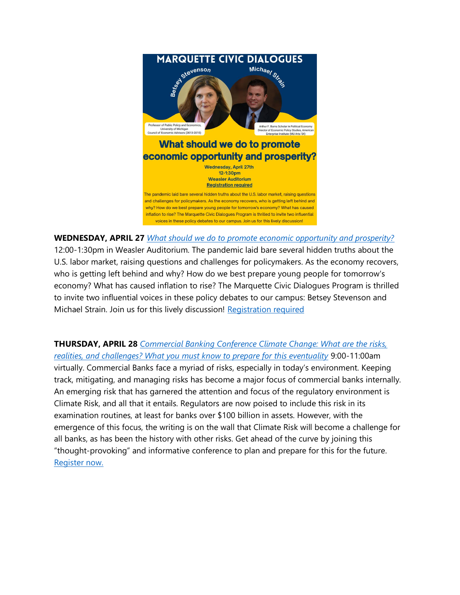

**WEDNESDAY, APRIL 27** *[What should we do to promote economic opportunity and prosperity?](https://www.eventbrite.com/e/what-should-we-do-to-promote-economic-opportunity-and-prosperity-tickets-314481652087?lor=3&utm_source=mass_mailer&utm_medium=email&utm_campaign=uni_targeted_emails)*  12:00-1:30pm in Weasler Auditorium. The pandemic laid bare several hidden truths about the U.S. labor market, raising questions and challenges for policymakers. As the economy recovers, who is getting left behind and why? How do we best prepare young people for tomorrow's economy? What has caused inflation to rise? The Marquette Civic Dialogues Program is thrilled to invite two influential voices in these policy debates to our campus: Betsey Stevenson and Michael Strain. Join us for this lively discussion! [Registration required](https://nam02.safelinks.protection.outlook.com/?url=https%3A%2F%2Fwww.eventbrite.com%2Fe%2F314481652087&data=04%7C01%7Ckatie.dougherty%40marquette.edu%7C1ae5a4f031cf428038b608da18b4de44%7Cabe32f68c72d420db5bd750c63a268e4%7C0%7C0%7C637849462774627239%7CUnknown%7CTWFpbGZsb3d8eyJWIjoiMC4wLjAwMDAiLCJQIjoiV2luMzIiLCJBTiI6Ik1haWwiLCJXVCI6Mn0%3D%7C3000&sdata=EKaa71uTozALsXhGv6qEGzrE6a3tLT4i4tzu%2FUwE0o4%3D&reserved=0&lor=4&utm_source=mass_mailer&utm_medium=email&utm_campaign=uni_targeted_emails)

**THURSDAY, APRIL 28** *[Commercial Banking Conference Climate Change: What are the risks,](https://www.marquette.edu/business/banking/climate-change-conference.php?lor=5&utm_source=mass_mailer&utm_medium=email&utm_campaign=uni_targeted_emails)  [realities, and challenges? What you must know to prepare for this eventuality](https://www.marquette.edu/business/banking/climate-change-conference.php?lor=5&utm_source=mass_mailer&utm_medium=email&utm_campaign=uni_targeted_emails)* 9:00-11:00am virtually. Commercial Banks face a myriad of risks, especially in today's environment. Keeping track, mitigating, and managing risks has become a major focus of commercial banks internally. An emerging risk that has garnered the attention and focus of the regulatory environment is Climate Risk, and all that it entails. Regulators are now poised to include this risk in its examination routines, at least for banks over \$100 billion in assets. However, with the emergence of this focus, the writing is on the wall that Climate Risk will become a challenge for all banks, as has been the history with other risks. Get ahead of the curve by joining this "thought-provoking" and informative conference to plan and prepare for this for the future. [Register now.](https://www.eventbrite.com/e/marquette-university-commercial-banking-conference-climate-change-tickets-295325224697?lor=6&utm_source=mass_mailer&utm_medium=email&utm_campaign=uni_targeted_emails)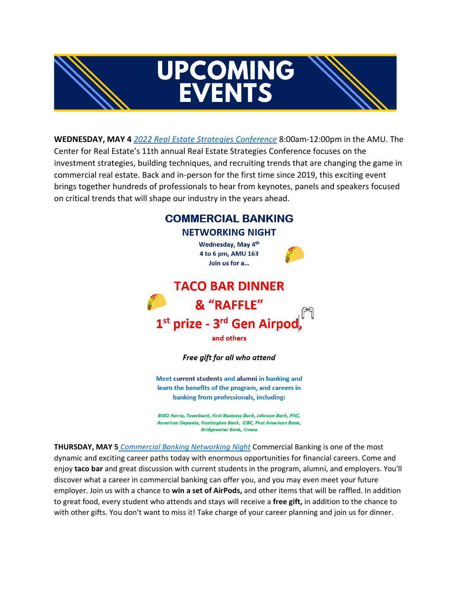



**WEDNESDAY, MAY 4** *[2022 Real Estate Strategies Conference](https://www.marquette.edu/business/re-conf/)* 8:00am-12:00pm in the AMU. The Center for Real Estate's 11th annual Real Estate Strategies Conference focuses on the investment strategies, building techniques, and recruiting trends that are changing the game in commercial real estate. Back and in-person for the first time since 2019, this exciting event brings together hundreds of professionals to hear from keynotes, panels and speakers focused on critical trends that will shape our industry in the years ahead.



Meet current students and alumni in banking and learn the benefits of the program, and careers in banking from professionals, including:

**BMO Harris, Townbank, First Business Bank, Johnson Bank, PNC.** American Deposits, Huntington Bank, CIBC, First American Bank, **Bridgewater Bank, Crowe** 

**THURSDAY, MAY 5** *[Commercial Banking Networking Night](https://marquette.joinhandshake.com/events/1029613/share_preview?lor=19&utm_source=mass_mailer&utm_medium=email&utm_campaign=uni_targeted_emails)* Commercial Banking is one of the most dynamic and exciting career paths today with enormous opportunities for financial careers. Come and enjoy **taco bar** and great discussion with current students in the program, alumni, and employers. You'll discover what a career in commercial banking can offer you, and you may even meet your future employer. Join us with a chance to **win a set of AirPods,** and other items that will be raffled. In addition to great food, every student who attends and stays will receive a **free gift,** in addition to the chance to with other gifts. You don't want to miss it! Take charge of your career planning and join us for dinner.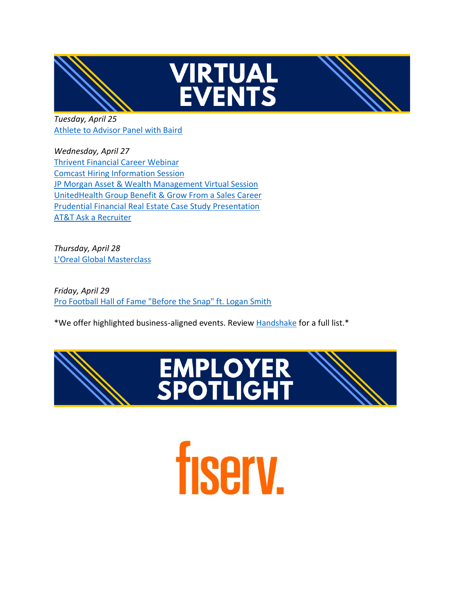



*Tuesday, April 25* [Athlete to Advisor Panel with Baird](https://marquette.joinhandshake.com/events/1023334/share_preview?lor=7&utm_source=mass_mailer&utm_medium=email&utm_campaign=uni_targeted_emails)

*Wednesday, April 27* [Thrivent Financial Career Webinar](https://marquette.joinhandshake.com/events/1030210/share_preview?lor=8&utm_source=mass_mailer&utm_medium=email&utm_campaign=uni_targeted_emails) [Comcast Hiring Information Session](https://marquette.joinhandshake.com/events/1031299/share_preview?lor=9&utm_source=mass_mailer&utm_medium=email&utm_campaign=uni_targeted_emails) [JP Morgan Asset & Wealth Management Virtual Session](https://marquette.joinhandshake.com/events/1024430/share_preview?lor=10&utm_source=mass_mailer&utm_medium=email&utm_campaign=uni_targeted_emails) [UnitedHealth Group Benefit & Grow From a Sales Career](https://marquette.joinhandshake.com/events/1029210/share_preview?lor=11&utm_source=mass_mailer&utm_medium=email&utm_campaign=uni_targeted_emails) [Prudential Financial Real Estate Case Study Presentation](https://marquette.joinhandshake.com/events/1012519/share_preview?lor=12&utm_source=mass_mailer&utm_medium=email&utm_campaign=uni_targeted_emails) [AT&T Ask a Recruiter](https://marquette.joinhandshake.com/events/1030782/share_preview?lor=13&utm_source=mass_mailer&utm_medium=email&utm_campaign=uni_targeted_emails)

*Thursday, April 28* [L'Oreal Global Masterclass](https://marquette.joinhandshake.com/events/1031815/share_preview?lor=14&utm_source=mass_mailer&utm_medium=email&utm_campaign=uni_targeted_emails)

*Friday, April 29* [Pro Football Hall of Fame "Before the Snap" ft. Logan Smith](https://marquette.joinhandshake.com/events/1025163/share_preview?lor=15&utm_source=mass_mailer&utm_medium=email&utm_campaign=uni_targeted_emails)

\*We offer highlighted business-aligned events. Review [Handshake](https://marquette.joinhandshake.com/edu/events?lor=16&utm_source=mass_mailer&utm_medium=email&utm_campaign=uni_targeted_emails) for a full list.\*



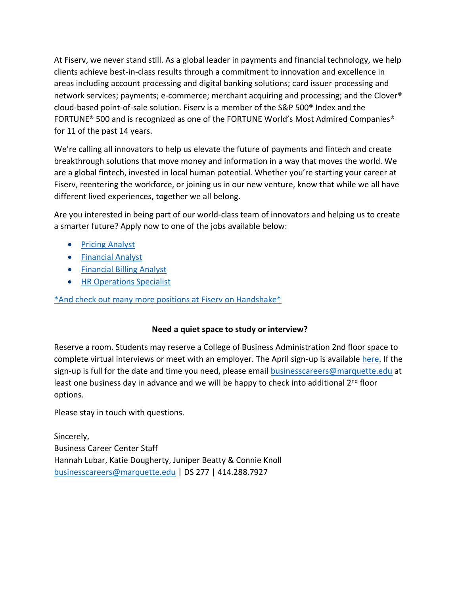At Fiserv, we never stand still. As a global leader in payments and financial technology, we help clients achieve best-in-class results through a commitment to innovation and excellence in areas including account processing and digital banking solutions; card issuer processing and network services; payments; e-commerce; merchant acquiring and processing; and the Clover® cloud-based point-of-sale solution. Fiserv is a member of the S&P 500® Index and the FORTUNE® 500 and is recognized as one of the FORTUNE World's Most Admired Companies® for 11 of the past 14 years.

We're calling all innovators to help us elevate the future of payments and fintech and create breakthrough solutions that move money and information in a way that moves the world. We are a global fintech, invested in local human potential. Whether you're starting your career at Fiserv, reentering the workforce, or joining us in our new venture, know that while we all have different lived experiences, together we all belong.

Are you interested in being part of our world-class team of innovators and helping us to create a smarter future? Apply now to one of the jobs available below:

- [Pricing Analyst](https://marquette.joinhandshake.com/jobs/6183142/share_preview?lor=20&utm_source=mass_mailer&utm_medium=email&utm_campaign=uni_targeted_emails)
- [Financial Analyst](https://marquette.joinhandshake.com/jobs/6183106/share_preview?lor=21&utm_source=mass_mailer&utm_medium=email&utm_campaign=uni_targeted_emails)
- [Financial Billing Analyst](https://marquette.joinhandshake.com/jobs/6369383/share_preview?lor=22&utm_source=mass_mailer&utm_medium=email&utm_campaign=uni_targeted_emails)
- [HR Operations Specialist](https://marquette.joinhandshake.com/jobs/6027148/share_preview?lor=23&utm_source=mass_mailer&utm_medium=email&utm_campaign=uni_targeted_emails)

[\\*And check out many more positions at Fiserv on Handshake\\*](https://marquette.joinhandshake.com/edu/postings?employers%5B%5D=18617&lor=24&utm_source=mass_mailer&utm_medium=email&utm_campaign=uni_targeted_emails)

## **Need a quiet space to study or interview?**

Reserve a room. Students may reserve a College of Business Administration 2nd floor space to complete virtual interviews or meet with an employer. The April sign-up is available [here.](https://www.signupgenius.com/go/10C044FADA92BA5F85-april) If the sign-up is full for the date and time you need, please email [businesscareers@marquette.edu](https://marquette.joinhandshake.com/edu/mass_emails/1029980/businesscareers@marquette.edu) at least one business day in advance and we will be happy to check into additional  $2^{nd}$  floor options.

Please stay in touch with questions.

Sincerely, Business Career Center Staff Hannah Lubar, Katie Dougherty, Juniper Beatty & Connie Knoll [businesscareers@marquette.edu](mailto:businesscareers@marquette.edu) | DS 277 | 414.288.7927